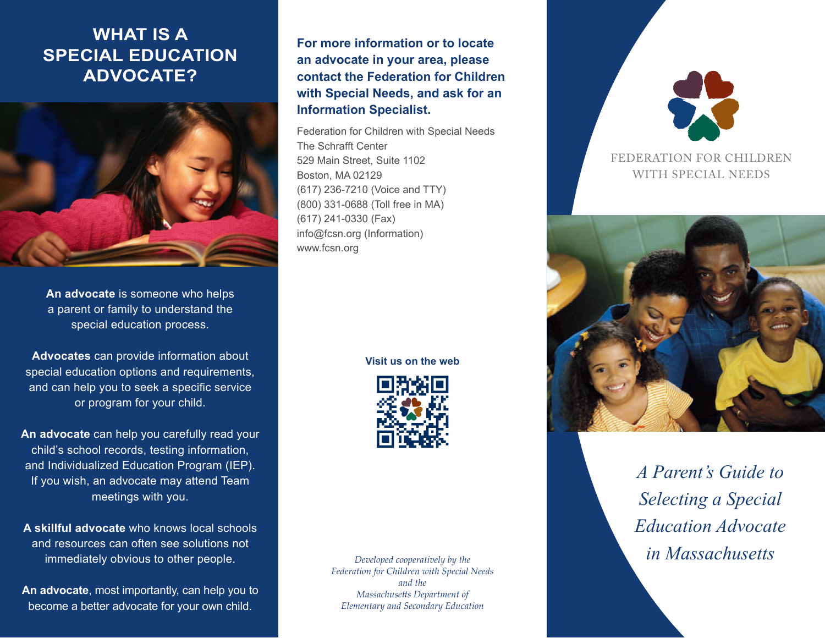# **WHAT IS A SPECIAL EDUCATION ADVOCATE?**



**An advocate** is someone who helps a parent or family to understand the special education process.

**Advocates** can provide information about special education options and requirements, and can help you to seek a specific service or program for your child.

**An advocate** can help you carefully read your child's school records, testing information, and Individualized Education Program (IEP). If you wish, an advocate may attend Team meetings with you.

**A skillful advocate** who knows local schools and resources can often see solutions not immediately obvious to other people.

**An advocate**, most importantly, can help you to become a better advocate for your own child.

**For more information or to locate an advocate in your area, please contact the Federation for Children with Special Needs, and ask for an Information Specialist.**

Federation for Children with Special Needs The Schrafft Center 529 Main Street, Suite 1102 Boston, MA 02129 (617) 236-7210 (Voice and TTY) (800) 331-0688 (Toll free in MA) (617) 241-0330 (Fax) info@fcsn.org (Information) www.fcsn.org

**Visit us on the web**



*Federation for Children with Special Needs and the Massachusetts Department of Elementary and Secondary Education*



### FEDERATION FOR CHILDREN WITH SPECIAL NEEDS



**in Massachusetts** *in Massachusetts A Parent's Guide to Selecting a Special Education Advocate*